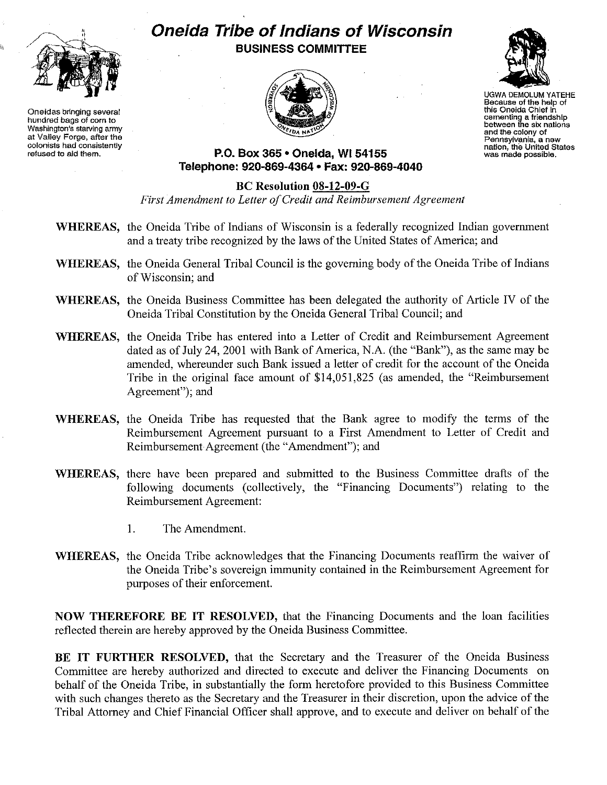

**Oneidas bringing several hundred bags of corn to Washington's starvIng army at Valley Forge, after the** colonists **had consistently refused to aid them.**

## **Oneida Tribe of Indians of Wisconsin BUSINESS COMMITTEE**





UGWADEMOLUM YATEHE **Because of the help of this Oneida Chief in cementing a friendship between the six nations and the colony of Pennsylvania, a new nation, the United States was made possible.**

**P.O. Box 365' Oneida,** WI 54155 **Telephone: 920-869-4364 • Fax: 920-869-4040**

## **Be Resolution 08-12-09-G**

*First Amendment to Letter ofCredit and Reimbursement Agreement*

- **WHEREAS,** the Oneida Tribe of Indians of Wisconsin is a federally recognized Indian government and a treaty tribe recognized by the laws of the United States of America; and
- WHEREAS, the Oneida General Tribal Council is the governing body of the Oneida Tribe of Indians of Wisconsin; and
- **WHEREAS,** the Oneida Business Committee has been delegated the authority of Article IV of the Oneida Tribal Constitution by the Oneida General Tribal Council; and
- **WHEREAS,** the Oneida Tribe has entered into a Letter of Credit and Reimbursement Agreement dated as of July 24, 2001 with Bank of America, N.A. (the "Bank"), as the same may be amended, whereunder such Bank issued a letter of credit for the account of the Oneida Tribe in the original face amount of \$14,051,825 (as amended, the "Reimbursement Agreement"); and
- **WHEREAS,** the Oneida Tribe has requested that the Bank agree to modify the terms of the Reimbursement Agreement pursuant to a First Amendment to Letter of Credit and Reimbursement Agreement (the "Amendment"); and
- **WHEREAS,** there have been prepared and submitted to the Business Committee drafts of the following documents (collectively, the "Financing Documents") relating to the Reimbursement Agreement:
	- I. The Amendment.
- **WHEREAS,** the Oneida Tribe acknowledges that the Financing Documents reaffirm the waiver of the Oneida Tribe's sovereign immunity contained in the Reimbursement Agreement for purposes of their enforcement.

**NOW THEREFORE BE IT RESOLVED,** that the Financing Documents and the loan facilities reflected therein are hereby approved by the Oneida Business Committee.

**BE IT FURTHER RESOLVED,** that the Secretary and the Treasurer of the Oneida Business Committee are hereby authorized and directed to execute and deliver the Financing Documents on behalf of the Oneida Tribe, in substantially the form heretofore provided to this Business Committee with such changes thereto as the Secretary and the Treasurer in their discretion, upon the advice of the Tribal Attorney and Chief Financial Officer shall approve, and to execute and deliver on behalf of the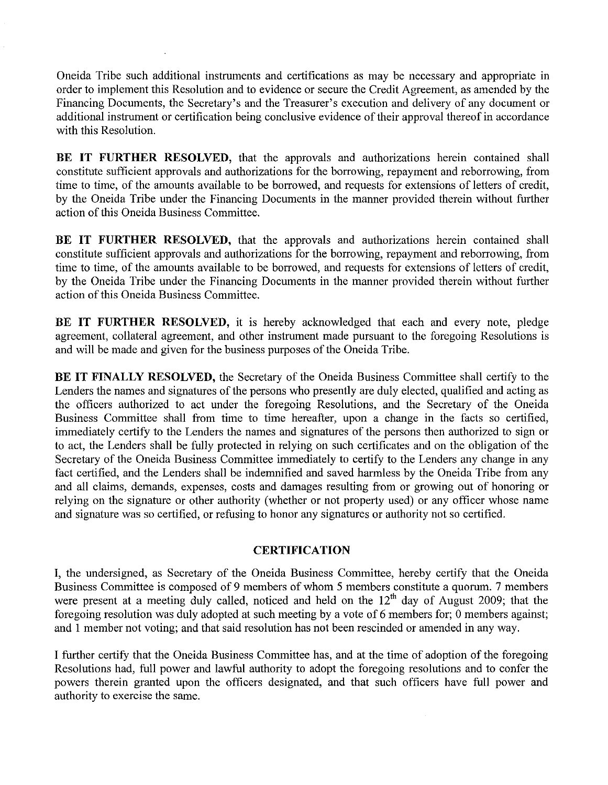Oneida Tribe such additional instruments and certifications as may be necessary and appropriate in order to implement this Resolution and to evidence or secure the Credit Agreement, as amended by the Financing Documents, the Secretary's and the Treasurer's execution and delivery of any document or additional instrument or certification being conclusive evidence of their approval thereof in accordance with this Resolution.

**BE IT FURTHER RESOLVED,** that the approvals and authorizations herein contained shall constitute sufficient approvals and authorizations for the borrowing, repayment and reborrowing, from time to time, of the amounts available to be borrowed, and requests for extensions of letters of credit, by the Oneida Tribe under the Financing Documents in the manner provided therein without further action of this Oneida Business Committee.

**BE IT FURTHER RESOLVED,** that the approvals and authorizations herein contained shall constitute sufficient approvals and authorizations for the borrowing, repayment and reborrowing, from time to time, of the amounts available to be borrowed, and requests for extensions of letters of credit, by the Oneida Tribe under the Financing Documents in the manner provided therein without further action of this Oneida Business Committee.

**BE IT FURTHER RESOLVED,** it is hereby acknowledged that each and every note, pledge agreement, collateral agreement, and other instrument made pursuant to the foregoing Resolutions is and will be made and given for the business purposes of the Oneida Tribe.

**BE IT FINALLY RESOLVED,** the Secretary of the Oneida Business Committee shall certify to the Lenders the names and signatures of the persons who presently are duly elected, qualified and acting as the officers authorized to act under the foregoing Resolutions, and the Secretary of the Oneida Business Committee shall from time to time hereafter, upon a change in the facts so certified, immediately certify to the Lenders the names and signatures of the persons then authorized to sign or to act, the Lenders shall be fully protected in relying on such certificates and on the obligation of the Secretary of the Oneida Business Committee immediately to certify to the Lenders any change in any fact certified, and the Lenders shall be indenmified and saved harmless by the Oneida Tribe from any and all claims, demands, expenses, costs and damages resulting from or growing out of honoring or relying on the signature or other authority (whether or not property used) or any officer whose name and signature was so certified, or refusing to honor any signatures or authority not so certified.

## **CERTIFICATION**

I, the undersigned, as Secretary of the Oneida Business Committee, hereby certify that the Oneida Business Committee is composed of 9 members of whom 5 members constitute a quorum. 7 members were present at a meeting duly called, noticed and held on the 12<sup>th</sup> day of August 2009; that the foregoing resolution was duly adopted at such meeting by a vote of 6 members for; 0 members against; and I member not voting; and that said resolution has not been rescinded or amended in any way.

I further certify that the Oneida Business Committee has, and at the time of adoption of the foregoing Resolutions had, full power and lawful authority to adopt the foregoing resolutions and to confer the powers therein granted upon the officers designated, and that such officers have full power and authority to exercise the same.